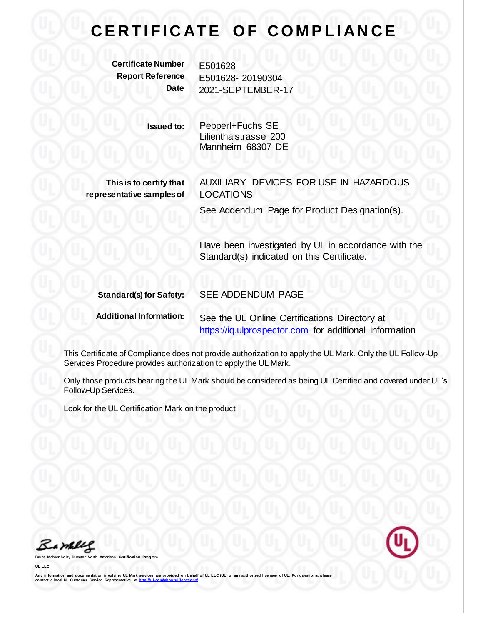## **CERTIFICATE OF COMPLIANCE**

**Certificate Number** E501628

**Report Reference** E501628- 20190304 **Date** 2021-SEPTEMBER-17

> **Issued to:** Pepperl+Fuchs SE Lilienthalstrasse 200 Mannheim 68307 DE

**This is to certify that representative samples of** AUXILIARY DEVICES FOR USE IN HAZARDOUS LOCATIONS

See Addendum Page for Product Designation(s).

Have been investigated by UL in accordance with the Standard(s) indicated on this Certificate.

**Standard(s) for Safety:** SEE ADDENDUM PAGE **Additional Information:** See the UL Online Certifications Directory at

[https://iq.ulprospector.com](https://iq.ulprospector.com/) for additional information

This Certificate of Compliance does not provide authorization to apply the UL Mark. Only the UL Follow-Up Services Procedure provides authorization to apply the UL Mark.

Only those products bearing the UL Mark should be considered as being UL Certified and covered under UL's Follow-Up Services.

Look for the UL Certification Mark on the product.

Bamelle

**Bruce Mahrenholz, Director North American Certification Program**

**UL LLC**

Any information and documentation involving UL Mark services are provided on behalf of UL LLC (UL) or any authorized licensee of UL. For questions, please<br>contact a local UL Customer Service Representative at http://ul.com